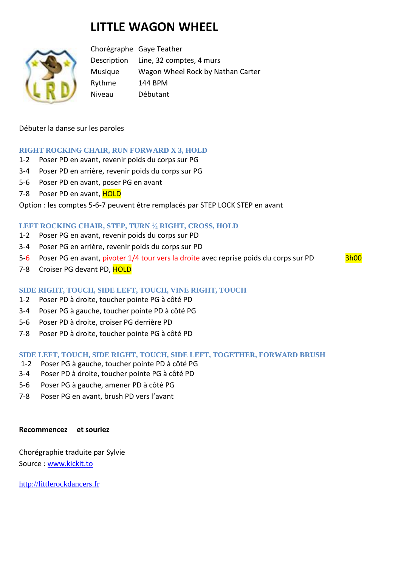# **LITTLE WAGON WHEEL**



Chorégraphe Gaye Teather Description Line, 32 comptes, 4 murs Musique Wagon Wheel Rock by Nathan Carter Rythme 144 BPM Niveau Débutant

Débuter la danse sur les paroles

## **RIGHT ROCKING CHAIR, RUN FORWARD X 3, HOLD**

- 1-2 Poser PD en avant, revenir poids du corps sur PG
- 3-4 Poser PD en arrière, revenir poids du corps sur PG
- 5-6 Poser PD en avant, poser PG en avant
- 7-8 Poser PD en avant, HOLD

## Option : les comptes 5-6-7 peuvent être remplacés par STEP LOCK STEP en avant

## **LEFT ROCKING CHAIR, STEP, TURN <sup>1</sup> ⁄<sup>4</sup> RIGHT, CROSS, HOLD**

- 1-2 Poser PG en avant, revenir poids du corps sur PD
- 3-4 Poser PG en arrière, revenir poids du corps sur PD
- 5-6 Poser PG en avant, pivoter 1/4 tour vers la droite avec reprise poids du corps sur PD 3h00
- 7-8 Croiser PG devant PD, HOLD

# **SIDE RIGHT, TOUCH, SIDE LEFT, TOUCH, VINE RIGHT, TOUCH**

- 1-2 Poser PD à droite, toucher pointe PG à côté PD
- 3-4 Poser PG à gauche, toucher pointe PD à côté PG
- 5-6 Poser PD à droite, croiser PG derrière PD
- 7-8 Poser PD à droite, toucher pointe PG à côté PD

#### **SIDE LEFT, TOUCH, SIDE RIGHT, TOUCH, SIDE LEFT, TOGETHER, FORWARD BRUSH**

- 1-2 Poser PG à gauche, toucher pointe PD à côté PG
- 3-4 Poser PD à droite, toucher pointe PG à côté PD
- 5-6 Poser PG à gauche, amener PD à côté PG
- 7-8 Poser PG en avant, brush PD vers l'avant

#### **Recommencez et souriez**

Chorégraphie traduite par Sylvie Source : [www.kickit.to](http://www.kickit.to/)

[http://littlerockdancers.fr](http://littlerockdancers.fr/)